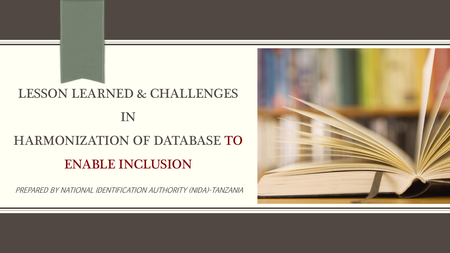## LESSON LEARNED & CHALLENGES IN STRUCK COMMUNIST STRUCK COMMUNIST STRUCK COMMUNIST STRUCK COMMUNIST STRUCK COMMUNIST STRUCK COMMUNIST STRUCK HARMONIZATION OF DATABASE TO ENABLE INCLUSION

PREPARED BY NATIONAL IDENTIFICATION AUTHORITY (NIDA)-TANZANIA

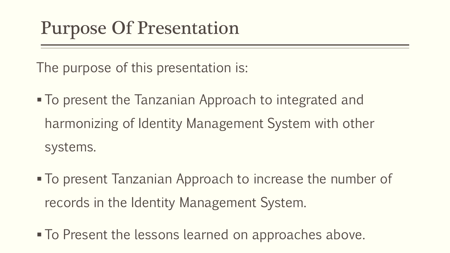## Purpose Of Presentation

The purpose of this presentation is:

- To present the Tanzanian Approach to integrated and harmonizing of Identity Management System with other systems.
- § To present Tanzanian Approach to increase the number of records in the Identity Management System.
- To Present the lessons learned on approaches above.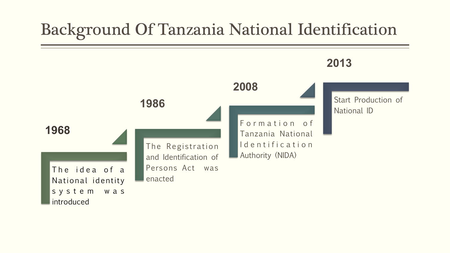### Background Of Tanzania National Identification

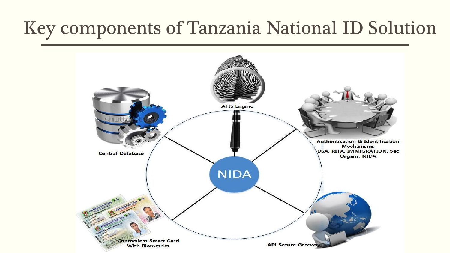## Key components of Tanzania National ID Solution

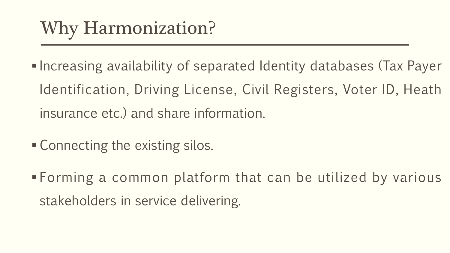# Why Harmonization?

- Increasing availability of separated Identity databases (Tax Payer Identification, Driving License, Civil Registers, Voter ID, Heath insurance etc.) and share information.
- Connecting the existing silos.
- § Forming a common platform that can be utilized by various stakeholders in service delivering.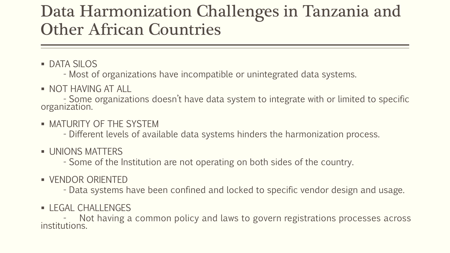#### Data Harmonization Challenges in Tanzania and Other African Countries

■ DATA SILOS

- Most of organizations have incompatible or unintegrated data systems.

§ NOT HAVING ATALL

- Some organizations doesn 't have data system to integrate with or limited to specific organization.

• MATURITY OF THE SYSTEM

- Different levels of available data systems hinders the harmonization process.

**■ UNIONS MATTERS** 

- Some of the Institution are not operating on both sides of the country.

§ VENDOR ORIENTED

- Data systems have been confined and locked to specific vendor design and usage.

■ LEGAL CHALLENGES

Not having a common policy and laws to govern registrations processes across institutions.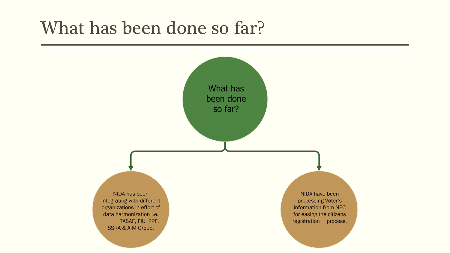### What has been done so far?

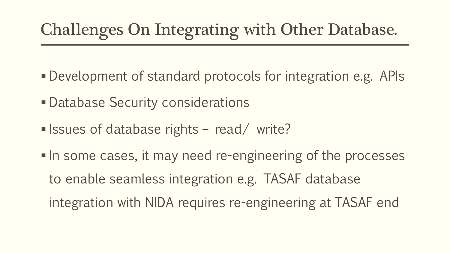## Challenges On Integrating with Other Database.

- § Development of standard protocols for integration e.g. APIs
- Database Security considerations
- Issues of database rights read/ write?
- In some cases, it may need re-engineering of the processes to enable seamless integration e.g. TASAF database integration with NIDA requires re-engineering at TASAF end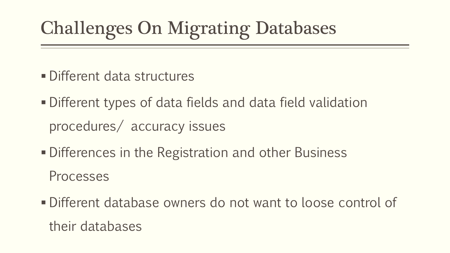# Challenges On Migrating Databases

- § Different data structures
- Different types of data fields and data field validation procedures/ accuracy issues
- Differences in the Registration and other Business Processes
- § Different database owners do not want to loose control of their databases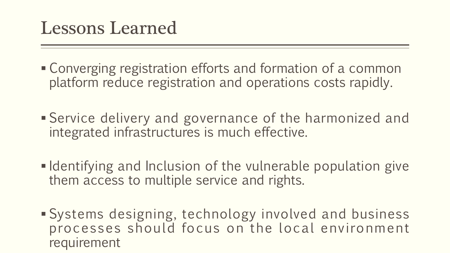### Lessons Learned

- Converging registration efforts and formation of a common platform reduce registration and operations costs rapidly.
- Service delivery and governance of the harmonized and integrated infrastructures is much effective.
- Identifying and Inclusion of the vulnerable population give them access to multiple service and rights.
- § Systems designing, technology involved and business processes should focus on the local environment requirement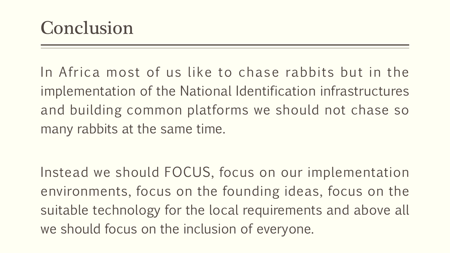In Africa most of us like to chase rabbits but in the implementation of the National Identification infrastructures and building common platforms we should not chase so many rabbits at the same time.

Instead we should FOCUS, focus on our implementation environments, focus on the founding ideas, focus on the suitable technology for the local requirements and above all we should focus on the inclusion of everyone.